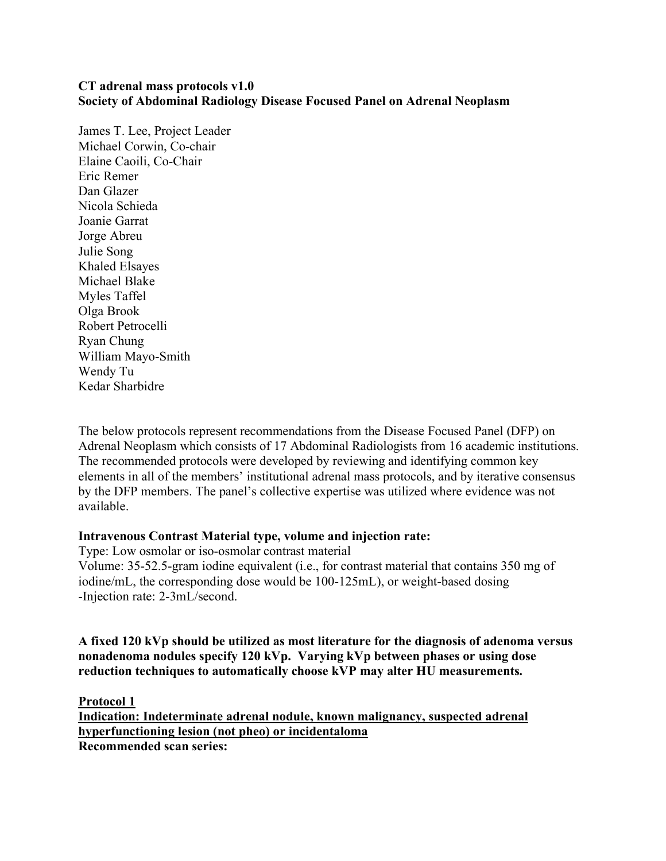#### **CT adrenal mass protocols v1.0 Society of Abdominal Radiology Disease Focused Panel on Adrenal Neoplasm**

James T. Lee, Project Leader Michael Corwin, Co-chair Elaine Caoili, Co-Chair Eric Remer Dan Glazer Nicola Schieda Joanie Garrat Jorge Abreu Julie Song Khaled Elsayes Michael Blake Myles Taffel Olga Brook Robert Petrocelli Ryan Chung William Mayo-Smith Wendy Tu Kedar Sharbidre

The below protocols represent recommendations from the Disease Focused Panel (DFP) on Adrenal Neoplasm which consists of 17 Abdominal Radiologists from 16 academic institutions. The recommended protocols were developed by reviewing and identifying common key elements in all of the members' institutional adrenal mass protocols, and by iterative consensus by the DFP members. The panel's collective expertise was utilized where evidence was not available.

#### **Intravenous Contrast Material type, volume and injection rate:**

Type: Low osmolar or iso-osmolar contrast material Volume: 35-52.5-gram iodine equivalent (i.e., for contrast material that contains 350 mg of iodine/mL, the corresponding dose would be 100-125mL), or weight-based dosing -Injection rate: 2-3mL/second.

**A fixed 120 kVp should be utilized as most literature for the diagnosis of adenoma versus nonadenoma nodules specify 120 kVp. Varying kVp between phases or using dose reduction techniques to automatically choose kVP may alter HU measurements.** 

**Protocol 1**

**Indication: Indeterminate adrenal nodule, known malignancy, suspected adrenal hyperfunctioning lesion (not pheo) or incidentaloma Recommended scan series:**